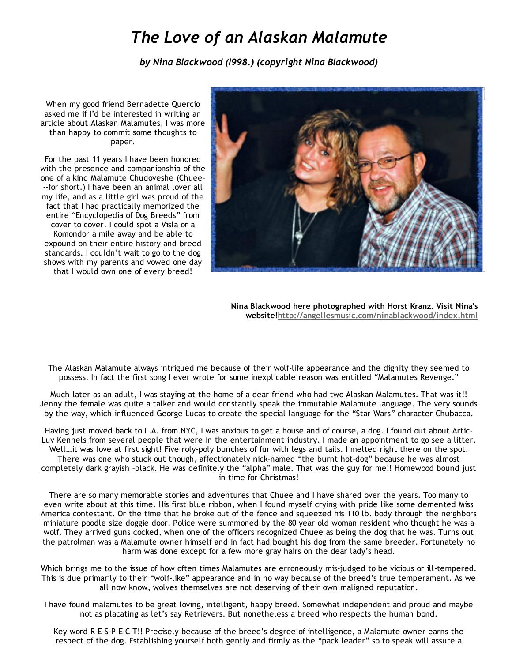## *The Love of an Alaskan Malamute*

*by Nina Blackwood (l998.) (copyright Nina Blackwood)*

When my good friend Bernadette Quercio asked me if I'd be interested in writing an article about Alaskan Malamutes, I was more than happy to commit some thoughts to paper.

For the past 11 years I have been honored with the presence and companionship of the one of a kind Malamute Chudoveshe (Chuee‐ ‐‐for short.) I have been an animal lover all my life, and as a little girl was proud of the fact that I had practically memorized the entire "Encyclopedia of Dog Breeds" from cover to cover. I could spot a Visla or a Komondor a mile away and be able to expound on their entire history and breed standards. I couldn't wait to go to the dog shows with my parents and vowed one day that I would own one of every breed!



Nina Blackwood here photographed with Horst Kranz. Visit Nina's website[!http://angellesmusic.com/ninablackwood/index.html](http://angellesmusic.com/ninablackwood/index.html)

The Alaskan Malamute always intrigued me because of their wolf‐life appearance and the dignity they seemed to possess. In fact the first song I ever wrote for some inexplicable reason was entitled "Malamutes Revenge."

Much later as an adult, I was staying at the home of a dear friend who had two Alaskan Malamutes. That was it!! Jenny the female was quite a talker and would constantly speak the immutable Malamute language. The very sounds by the way, which influenced George Lucas to create the special language for the "Star Wars" character Chubacca.

Having just moved back to L.A. from NYC, I was anxious to get a house and of course, a dog. I found out about Artic‐ Luv Kennels from several people that were in the entertainment industry. I made an appointment to go see a litter. Well...it was love at first sight! Five roly-poly bunches of fur with legs and tails. I melted right there on the spot. There was one who stuck out though, affectionately nick‐named "the burnt hot‐dog" because he was almost completely dark grayish –black. He was definitely the "alpha" male. That was the guy for me!! Homewood bound just in time for Christmas!

There are so many memorable stories and adventures that Chuee and I have shared over the years. Too many to even write about at this time. His first blue ribbon, when I found myself crying with pride like some demented Miss America contestant. Or the time that he broke out of the fence and squeezed his 110 lb. body through the neighbors miniature poodle size doggie door. Police were summoned by the 80 year old woman resident who thought he was a wolf. They arrived guns cocked, when one of the officers recognized Chuee as being the dog that he was. Turns out the patrolman was a Malamute owner himself and in fact had bought his dog from the same breeder. Fortunately no harm was done except for a few more gray hairs on the dear lady's head.

Which brings me to the issue of how often times Malamutes are erroneously mis-judged to be vicious or ill-tempered. This is due primarily to their "wolf‐like" appearance and in no way because of the breed's true temperament. As we all now know, wolves themselves are not deserving of their own maligned reputation.

I have found malamutes to be great loving, intelligent, happy breed. Somewhat independent and proud and maybe not as placating as let's say Retrievers. But nonetheless a breed who respects the human bond.

Key word R‐E‐S‐P‐E‐C‐T!! Precisely because of the breed's degree of intelligence, a Malamute owner earns the respect of the dog. Establishing yourself both gently and firmly as the "pack leader" so to speak will assure a